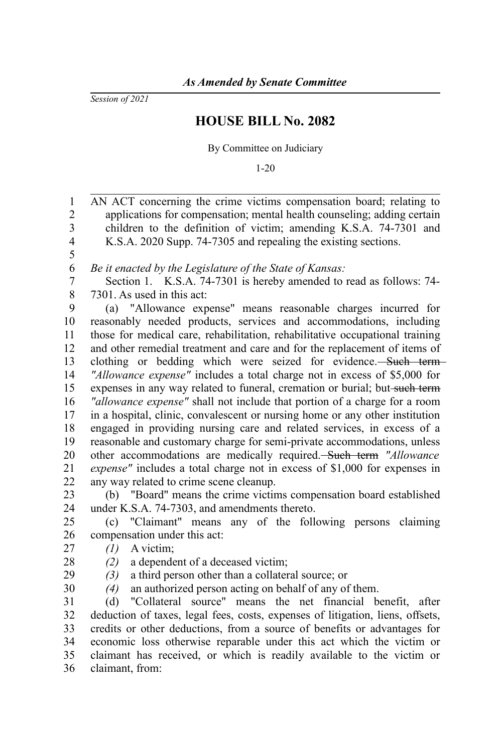*Session of 2021*

## **HOUSE BILL No. 2082**

By Committee on Judiciary

1-20

AN ACT concerning the crime victims compensation board; relating to applications for compensation; mental health counseling; adding certain children to the definition of victim; amending K.S.A. 74-7301 and K.S.A. 2020 Supp. 74-7305 and repealing the existing sections. *Be it enacted by the Legislature of the State of Kansas:* Section 1. K.S.A. 74-7301 is hereby amended to read as follows: 74- 7301. As used in this act: (a) "Allowance expense" means reasonable charges incurred for reasonably needed products, services and accommodations, including those for medical care, rehabilitation, rehabilitative occupational training and other remedial treatment and care and for the replacement of items of clothing or bedding which were seized for evidence. Such term *"Allowance expense"* includes a total charge not in excess of \$5,000 for expenses in any way related to funeral, cremation or burial; but-such term *"allowance expense"* shall not include that portion of a charge for a room in a hospital, clinic, convalescent or nursing home or any other institution engaged in providing nursing care and related services, in excess of a reasonable and customary charge for semi-private accommodations, unless other accommodations are medically required. Such term *"Allowance expense"* includes a total charge not in excess of \$1,000 for expenses in any way related to crime scene cleanup. (b) "Board" means the crime victims compensation board established under K.S.A. 74-7303, and amendments thereto. (c) "Claimant" means any of the following persons claiming compensation under this act: *(1)* A victim; *(2)* a dependent of a deceased victim; *(3)* a third person other than a collateral source; or *(4)* an authorized person acting on behalf of any of them. (d) "Collateral source" means the net financial benefit, after deduction of taxes, legal fees, costs, expenses of litigation, liens, offsets, credits or other deductions, from a source of benefits or advantages for economic loss otherwise reparable under this act which the victim or claimant has received, or which is readily available to the victim or 1 2 3 4 5 6 7 8 9 10 11 12 13 14 15 16 17 18 19 20 21 22 23 24 25 26 27 28 29 30 31 32 33 34 35

claimant, from: 36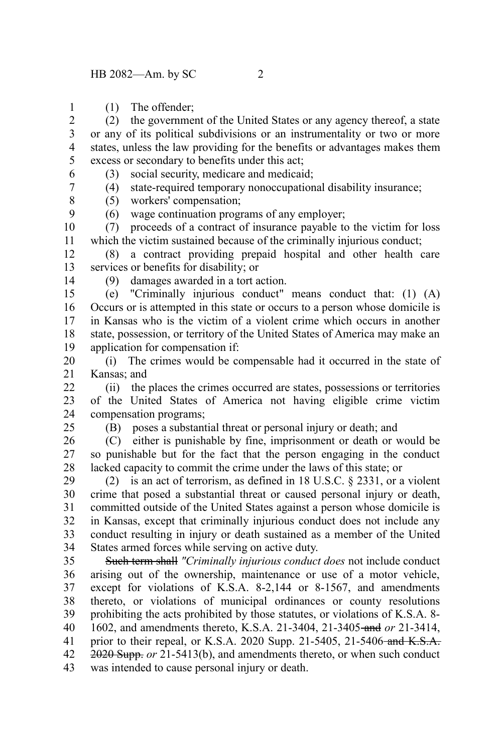(1) The offender;

(2) the government of the United States or any agency thereof, a state or any of its political subdivisions or an instrumentality or two or more states, unless the law providing for the benefits or advantages makes them excess or secondary to benefits under this act; 2 3 4 5

(3) social security, medicare and medicaid;

(4) state-required temporary nonoccupational disability insurance;

(5) workers' compensation;

(6) wage continuation programs of any employer;

(7) proceeds of a contract of insurance payable to the victim for loss which the victim sustained because of the criminally injurious conduct; 10 11

(8) a contract providing prepaid hospital and other health care services or benefits for disability; or 12 13

14

25

(9) damages awarded in a tort action.

(e) "Criminally injurious conduct" means conduct that: (1) (A) Occurs or is attempted in this state or occurs to a person whose domicile is in Kansas who is the victim of a violent crime which occurs in another state, possession, or territory of the United States of America may make an application for compensation if: 15 16 17 18 19

(i) The crimes would be compensable had it occurred in the state of Kansas; and 20 21

(ii) the places the crimes occurred are states, possessions or territories of the United States of America not having eligible crime victim compensation programs;  $22$ 23 24

(B) poses a substantial threat or personal injury or death; and

(C) either is punishable by fine, imprisonment or death or would be so punishable but for the fact that the person engaging in the conduct lacked capacity to commit the crime under the laws of this state; or 26 27 28

(2) is an act of terrorism, as defined in 18 U.S.C. § 2331, or a violent crime that posed a substantial threat or caused personal injury or death, committed outside of the United States against a person whose domicile is in Kansas, except that criminally injurious conduct does not include any conduct resulting in injury or death sustained as a member of the United States armed forces while serving on active duty. 29 30 31 32 33 34

Such term shall *"Criminally injurious conduct does* not include conduct arising out of the ownership, maintenance or use of a motor vehicle, except for violations of K.S.A. 8-2,144 or 8-1567, and amendments thereto, or violations of municipal ordinances or county resolutions prohibiting the acts prohibited by those statutes, or violations of K.S.A. 8- 1602, and amendments thereto, K.S.A. 21-3404, 21-3405 and *or* 21-3414, prior to their repeal, or K.S.A. 2020 Supp. 21-5405, 21-5406-and  $K.S.A.$ 2020 Supp. *or* 21-5413(b), and amendments thereto, or when such conduct was intended to cause personal injury or death. 35 36 37 38 39 40 41 42 43

6 7

> 8 9

1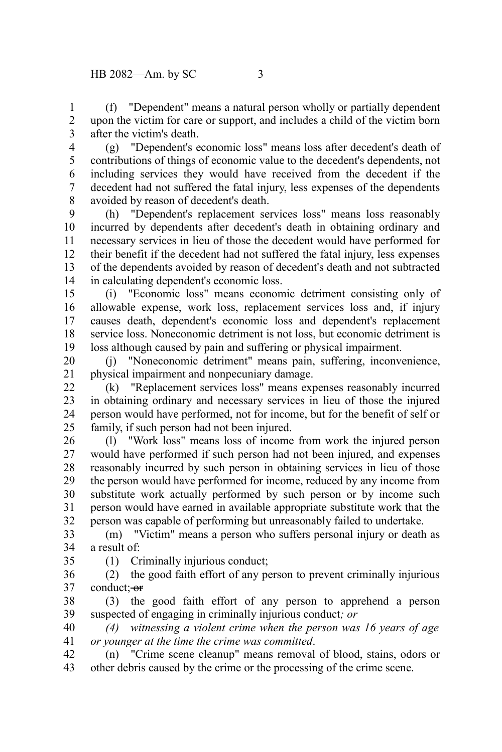(f) "Dependent" means a natural person wholly or partially dependent upon the victim for care or support, and includes a child of the victim born after the victim's death. 1 2 3

(g) "Dependent's economic loss" means loss after decedent's death of contributions of things of economic value to the decedent's dependents, not including services they would have received from the decedent if the decedent had not suffered the fatal injury, less expenses of the dependents avoided by reason of decedent's death. 4 5 6 7 8

(h) "Dependent's replacement services loss" means loss reasonably incurred by dependents after decedent's death in obtaining ordinary and necessary services in lieu of those the decedent would have performed for their benefit if the decedent had not suffered the fatal injury, less expenses of the dependents avoided by reason of decedent's death and not subtracted in calculating dependent's economic loss. 9 10 11 12 13 14

(i) "Economic loss" means economic detriment consisting only of allowable expense, work loss, replacement services loss and, if injury causes death, dependent's economic loss and dependent's replacement service loss. Noneconomic detriment is not loss, but economic detriment is loss although caused by pain and suffering or physical impairment. 15 16 17 18 19

(j) "Noneconomic detriment" means pain, suffering, inconvenience, physical impairment and nonpecuniary damage. 20 21

(k) "Replacement services loss" means expenses reasonably incurred in obtaining ordinary and necessary services in lieu of those the injured person would have performed, not for income, but for the benefit of self or family, if such person had not been injured. 22 23 24 25

(l) "Work loss" means loss of income from work the injured person would have performed if such person had not been injured, and expenses reasonably incurred by such person in obtaining services in lieu of those the person would have performed for income, reduced by any income from substitute work actually performed by such person or by income such person would have earned in available appropriate substitute work that the person was capable of performing but unreasonably failed to undertake. 26 27 28 29 30 31 32

(m) "Victim" means a person who suffers personal injury or death as a result of: 33 34

35

(1) Criminally injurious conduct;

(2) the good faith effort of any person to prevent criminally injurious conduct: or 36 37

(3) the good faith effort of any person to apprehend a person suspected of engaging in criminally injurious conduct*; or*  38 39

*(4) witnessing a violent crime when the person was 16 years of age or younger at the time the crime was committed*. 40 41

(n) "Crime scene cleanup" means removal of blood, stains, odors or other debris caused by the crime or the processing of the crime scene. 42 43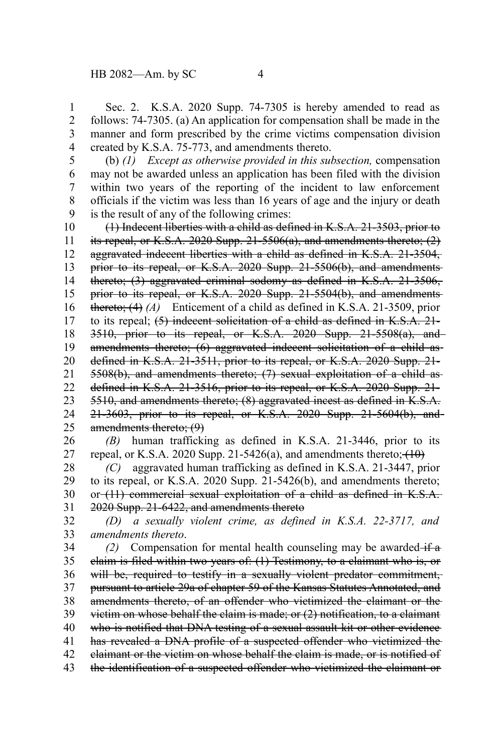Sec. 2. K.S.A. 2020 Supp. 74-7305 is hereby amended to read as follows: 74-7305. (a) An application for compensation shall be made in the manner and form prescribed by the crime victims compensation division created by K.S.A. 75-773, and amendments thereto. 1 2 3 4

(b) *(1) Except as otherwise provided in this subsection,* compensation may not be awarded unless an application has been filed with the division within two years of the reporting of the incident to law enforcement officials if the victim was less than 16 years of age and the injury or death is the result of any of the following crimes: 5 6 7 8 9

(1) Indecent liberties with a child as defined in K.S.A. 21-3503, prior to its repeal, or K.S.A. 2020 Supp.  $21-5506(a)$ , and amendments thereto;  $(2)$ aggravated indecent liberties with a child as defined in K.S.A. 21-3504, prior to its repeal, or K.S.A. 2020 Supp. 21-5506(b), and amendmentsthereto; (3) aggravated criminal sodomy as defined in K.S.A. 21-3506, prior to its repeal, or K.S.A. 2020 Supp. 21-5504(b), and amendments thereto; (4) *(A)* Enticement of a child as defined in K.S.A. 21-3509, prior to its repeal; (5) indecent solicitation of a child as defined in K.S.A. 21- 3510, prior to its repeal, or K.S.A. 2020 Supp. 21-5508(a), and amendments thereto; (6) aggravated indecent solicitation of a child as defined in K.S.A. 21-3511, prior to its repeal, or K.S.A. 2020 Supp. 21- 5508(b), and amendments thereto; (7) sexual exploitation of a child as defined in K.S.A. 21-3516, prior to its repeal, or K.S.A. 2020 Supp. 21- 5510, and amendments thereto; (8) aggravated incest as defined in K.S.A. 21-3603, prior to its repeal, or K.S.A. 2020 Supp. 21-5604(b), and amendments thereto; (9) 10 11 12 13 14 15 16 17 18 19 20 21 22 23 24 25

*(B)* human trafficking as defined in K.S.A. 21-3446, prior to its repeal, or K.S.A. 2020 Supp. 21-5426(a), and amendments thereto;  $(10)$ 26 27

*(C)* aggravated human trafficking as defined in K.S.A. 21-3447, prior to its repeal, or K.S.A. 2020 Supp. 21-5426(b), and amendments thereto; or (11) commercial sexual exploitation of a child as defined in K.S.A. 2020 Supp. 21-6422, and amendments thereto 28 29 30 31

*(D) a sexually violent crime, as defined in K.S.A. 22-3717, and amendments thereto*. 32 33

*(2)* Compensation for mental health counseling may be awarded  $\overrightarrow{f}$  a claim is filed within two years of: (1) Testimony, to a claimant who is, or will be, required to testify in a sexually violent predator commitment, pursuant to article 29a of chapter 59 of the Kansas Statutes Annotated, and amendments thereto, of an offender who victimized the claimant or the victim on whose behalf the claim is made; or (2) notification, to a claimant who is notified that DNA testing of a sexual assault kit or other evidence has revealed a DNA profile of a suspected offender who victimized the claimant or the victim on whose behalf the claim is made, or is notified of the identification of a suspected offender who victimized the claimant or 34 35 36 37 38 39 40 41 42 43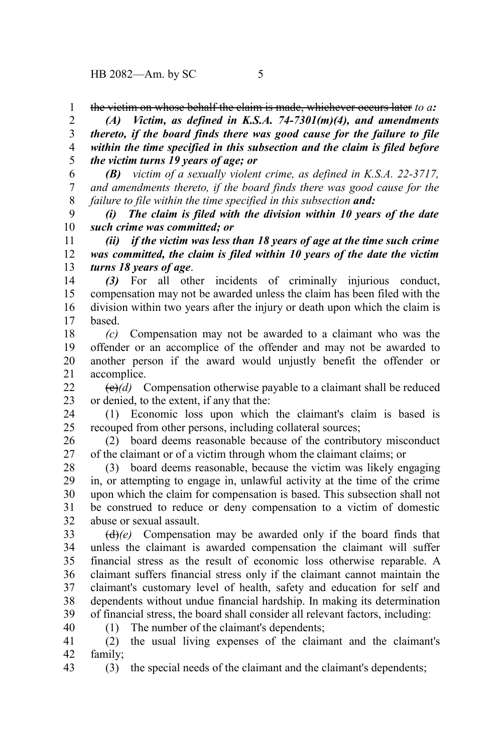the victim on whose behalf the claim is made, whichever occurs later *to a:* 1

*(A) Victim, as defined in K.S.A. 74-7301(m)(4), and amendments thereto, if the board finds there was good cause for the failure to file within the time specified in this subsection and the claim is filed before the victim turns 19 years of age; or* 2 3 4 5

*(B) victim of a sexually violent crime, as defined in K.S.A. 22-3717, and amendments thereto, if the board finds there was good cause for the failure to file within the time specified in this subsection and:* 6 7 8

*(i) The claim is filed with the division within 10 years of the date such crime was committed; or* 9 10

*(ii) if the victim was less than 18 years of age at the time such crime was committed, the claim is filed within 10 years of the date the victim turns 18 years of age*. 11 12 13

*(3)* For all other incidents of criminally injurious conduct, compensation may not be awarded unless the claim has been filed with the division within two years after the injury or death upon which the claim is based. 14 15 16 17

*(c)* Compensation may not be awarded to a claimant who was the offender or an accomplice of the offender and may not be awarded to another person if the award would unjustly benefit the offender or accomplice. 18 19 20 21

(c)*(d)* Compensation otherwise payable to a claimant shall be reduced or denied, to the extent, if any that the:  $22$ 23

(1) Economic loss upon which the claimant's claim is based is recouped from other persons, including collateral sources; 24 25

(2) board deems reasonable because of the contributory misconduct of the claimant or of a victim through whom the claimant claims; or 26 27

(3) board deems reasonable, because the victim was likely engaging in, or attempting to engage in, unlawful activity at the time of the crime upon which the claim for compensation is based. This subsection shall not be construed to reduce or deny compensation to a victim of domestic abuse or sexual assault. 28 29 30 31 32

(d)*(e)* Compensation may be awarded only if the board finds that unless the claimant is awarded compensation the claimant will suffer financial stress as the result of economic loss otherwise reparable. A claimant suffers financial stress only if the claimant cannot maintain the claimant's customary level of health, safety and education for self and dependents without undue financial hardship. In making its determination of financial stress, the board shall consider all relevant factors, including: 33 34 35 36 37 38 39

(1) The number of the claimant's dependents;

(2) the usual living expenses of the claimant and the claimant's family; 41 42

(3) the special needs of the claimant and the claimant's dependents; 43

40